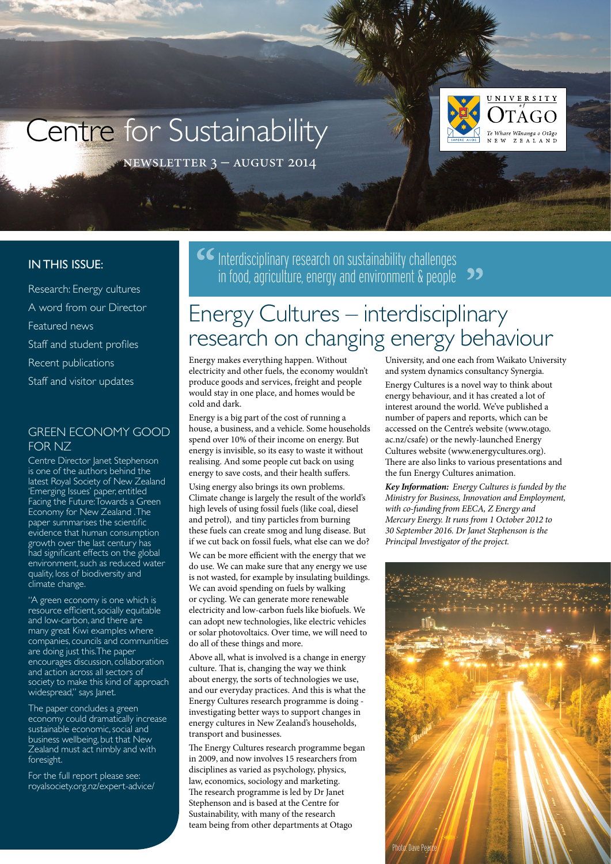# Centre for Sustainability



newsletter 3 – august 2014

### **IN THIS ISSUE:**

Research: Energy cultures A word from our Director Featured news Staff and student profiles Recent publications Staff and visitor updates

## Green economy good for NZ

Centre Director Janet Stephenson is one of the authors behind the latest Royal Society of New Zealand 'Emerging Issues' paper, entitled Facing the Future: Towards a Green Economy for New Zealand . The paper summarises the scientific evidence that human consumption growth over the last century has had significant effects on the global environment, such as reduced water quality, loss of biodiversity and climate change.

"A green economy is one which is resource efficient, socially equitable and low-carbon, and there are many great Kiwi examples where companies, councils and communities are doing just this.The paper encourages discussion, collaboration and action across all sectors of society to make this kind of approach widespread," says Janet.

The paper concludes a green economy could dramatically increase sustainable economic, social and business wellbeing, but that New Zealand must act nimbly and with foresight.

For the full report please see: [royalsociety.org.nz/expert-advice/](http://royalsociety.org.nz/expert-advice/) **CE** Interdisciplinary research on sustainability challenges in food, agriculture, energy and environment  $\&$  people  $\rightarrow$ 

## Energy Cultures – interdisciplinary research on changing energy behaviour

Energy makes everything happen. Without electricity and other fuels, the economy wouldn't produce goods and services, freight and people would stay in one place, and homes would be cold and dark.

Energy is a big part of the cost of running a house, a business, and a vehicle. Some households spend over 10% of their income on energy. But energy is invisible, so its easy to waste it without realising. And some people cut back on using energy to save costs, and their health suffers.

Using energy also brings its own problems. Climate change is largely the result of the world's high levels of using fossil fuels (like coal, diesel and petrol), and tiny particles from burning these fuels can create smog and lung disease. But if we cut back on fossil fuels, what else can we do?

We can be more efficient with the energy that we do use. We can make sure that any energy we use is not wasted, for example by insulating buildings. We can avoid spending on fuels by walking or cycling. We can generate more renewable electricity and low-carbon fuels like biofuels. We can adopt new technologies, like electric vehicles or solar photovoltaics. Over time, we will need to do all of these things and more.

Above all, what is involved is a change in energy culture. That is, changing the way we think about energy, the sorts of technologies we use, and our everyday practices. And this is what the Energy Cultures research programme is doing investigating better ways to support changes in energy cultures in New Zealand's households, transport and businesses.

The Energy Cultures research programme began in 2009, and now involves 15 researchers from disciplines as varied as psychology, physics, law, economics, sociology and marketing. The research programme is led by Dr Janet Stephenson and is based at the Centre for Sustainability, with many of the research team being from other departments at Otago

University, and one each from Waikato University and system dynamics consultancy Synergia.

Energy Cultures is a novel way to think about energy behaviour, and it has created a lot of interest around the world. We've published a number of papers and reports, which can be accessed on the Centre's website (www.otago. ac.nz/csafe) or the newly-launched Energy Cultures website (www.energycultures.org). There are also links to various presentations and the fun Energy Cultures animation.

*Key Information: Energy Cultures is funded by the Ministry for Business, Innovation and Employment, with co-funding from EECA, Z Energy and Mercury Energy. It runs from 1 October 2012 to 30 September 2016. Dr Janet Stephenson is the Principal Investigator of the project.*

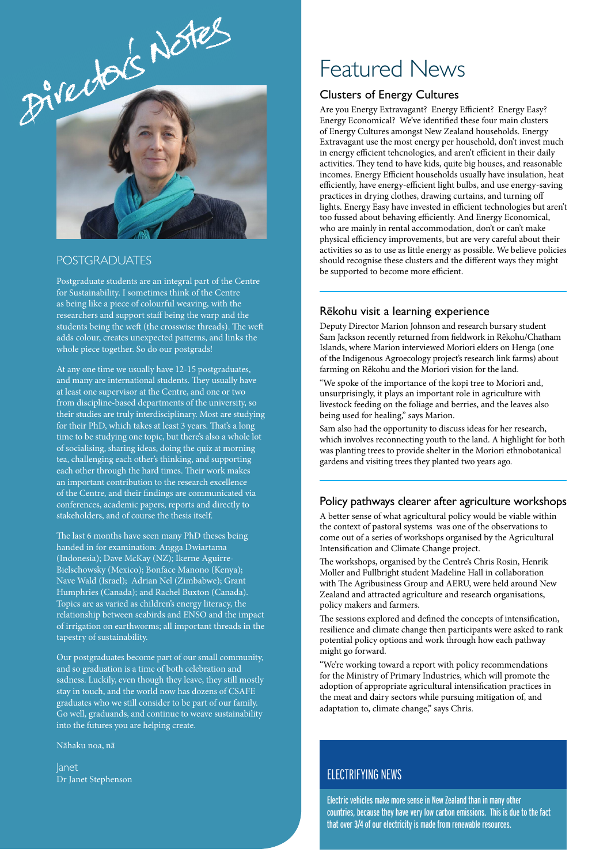

#### **POSTGRADUATES**

Postgraduate students are an integral part of the Centre for Sustainability. I sometimes think of the Centre as being like a piece of colourful weaving, with the researchers and support staff being the warp and the students being the weft (the crosswise threads). The weft adds colour, creates unexpected patterns, and links the whole piece together. So do our postgrads!

At any one time we usually have 12-15 postgraduates, and many are international students. They usually have at least one supervisor at the Centre, and one or two from discipline-based departments of the university, so their studies are truly interdisciplinary. Most are studying for their PhD, which takes at least 3 years. That's a long time to be studying one topic, but there's also a whole lot of socialising, sharing ideas, doing the quiz at morning tea, challenging each other's thinking, and supporting each other through the hard times. Their work makes an important contribution to the research excellence of the Centre, and their findings are communicated via conferences, academic papers, reports and directly to stakeholders, and of course the thesis itself.

The last 6 months have seen many PhD theses being handed in for examination: Angga Dwiartama (Indonesia); Dave McKay (NZ); Ikerne Aguirre-Bielschowsky (Mexico); Bonface Manono (Kenya); Nave Wald (Israel); Adrian Nel (Zimbabwe); Grant Humphries (Canada); and Rachel Buxton (Canada). Topics are as varied as children's energy literacy, the relationship between seabirds and ENSO and the impact of irrigation on earthworms; all important threads in the tapestry of sustainability.

Our postgraduates become part of our small community, and so graduation is a time of both celebration and sadness. Luckily, even though they leave, they still mostly stay in touch, and the world now has dozens of CSAFE graduates who we still consider to be part of our family. Go well, graduands, and continue to weave sustainability into the futures you are helping create.

Nähaku noa, nä

Janet Dr Janet Stephenson

## Featured News

#### Clusters of Energy Cultures

Are you Energy Extravagant? Energy Efficient? Energy Easy? Energy Economical? We've identified these four main clusters of Energy Cultures amongst New Zealand households. Energy Extravagant use the most energy per household, don't invest much in energy efficient tehcnologies, and aren't efficient in their daily activities. They tend to have kids, quite big houses, and reasonable incomes. Energy Efficient households usually have insulation, heat efficiently, have energy-efficient light bulbs, and use energy-saving practices in drying clothes, drawing curtains, and turning off lights. Energy Easy have invested in efficient technologies but aren't too fussed about behaving efficiently. And Energy Economical, who are mainly in rental accommodation, don't or can't make physical efficiency improvements, but are very careful about their activities so as to use as little energy as possible. We believe policies should recognise these clusters and the different ways they might be supported to become more efficient.

#### Rēkohu visit a learning experience

Deputy Director Marion Johnson and research bursary student Sam Jackson recently returned from fieldwork in Rēkohu/Chatham Islands, where Marion interviewed Moriori elders on Henga (one of the Indigenous Agroecology project's research link farms) about farming on Rēkohu and the Moriori vision for the land.

"We spoke of the importance of the kopi tree to Moriori and, unsurprisingly, it plays an important role in agriculture with livestock feeding on the foliage and berries, and the leaves also being used for healing," says Marion.

Sam also had the opportunity to discuss ideas for her research, which involves reconnecting youth to the land. A highlight for both was planting trees to provide shelter in the Moriori ethnobotanical gardens and visiting trees they planted two years ago.

#### Policy pathways clearer after agriculture workshops

A better sense of what agricultural policy would be viable within the context of pastoral systems was one of the observations to come out of a series of workshops organised by the Agricultural Intensification and Climate Change project.

The workshops, organised by the Centre's Chris Rosin, Henrik Moller and Fullbright student Madeline Hall in collaboration with The Agribusiness Group and AERU, were held around New Zealand and attracted agriculture and research organisations, policy makers and farmers.

The sessions explored and defined the concepts of intensification, resilience and climate change then participants were asked to rank potential policy options and work through how each pathway might go forward.

"We're working toward a report with policy recommendations for the Ministry of Primary Industries, which will promote the adoption of appropriate agricultural intensification practices in the meat and dairy sectors while pursuing mitigation of, and adaptation to, climate change," says Chris.

## ELECTRIFYING NEWS

Electric vehicles make more sense in New Zealand than in many other countries, because they have very low carbon emissions. This is due to the fact that over 3/4 of our electricity is made from renewable resources.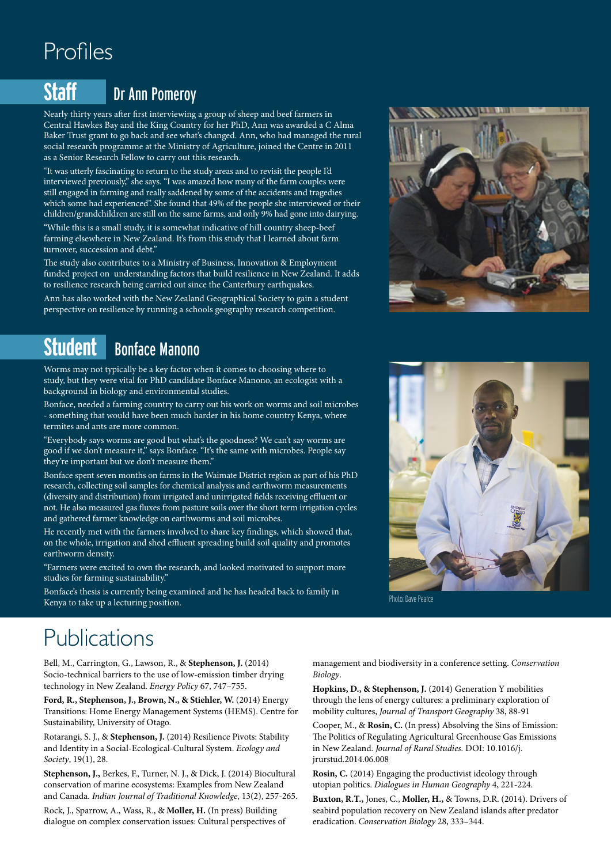# Profiles

## **Staff** Dr Ann Pomeroy

Nearly thirty years after first interviewing a group of sheep and beef farmers in Central Hawkes Bay and the King Country for her PhD, Ann was awarded a C Alma Baker Trust grant to go back and see what's changed. Ann, who had managed the rural social research programme at the Ministry of Agriculture, joined the Centre in 2011 as a Senior Research Fellow to carry out this research.

"It was utterly fascinating to return to the study areas and to revisit the people I'd interviewed previously," she says. "I was amazed how many of the farm couples were still engaged in farming and really saddened by some of the accidents and tragedies which some had experienced". She found that 49% of the people she interviewed or their children/grandchildren are still on the same farms, and only 9% had gone into dairying.

"While this is a small study, it is somewhat indicative of hill country sheep-beef farming elsewhere in New Zealand. It's from this study that I learned about farm turnover, succession and debt."

The study also contributes to a Ministry of Business, Innovation & Employment funded project on understanding factors that build resilience in New Zealand. It adds to resilience research being carried out since the Canterbury earthquakes.

Ann has also worked with the New Zealand Geographical Society to gain a student perspective on resilience by running a schools geography research competition.

## **Student** Bonface Manono

Worms may not typically be a key factor when it comes to choosing where to study, but they were vital for PhD candidate Bonface Manono, an ecologist with a background in biology and environmental studies.

Bonface, needed a farming country to carry out his work on worms and soil microbes - something that would have been much harder in his home country Kenya, where termites and ants are more common.

"Everybody says worms are good but what's the goodness? We can't say worms are good if we don't measure it," says Bonface. "It's the same with microbes. People say they're important but we don't measure them."

Bonface spent seven months on farms in the Waimate District region as part of his PhD research, collecting soil samples for chemical analysis and earthworm measurements (diversity and distribution) from irrigated and unirrigated fields receiving effluent or not. He also measured gas fluxes from pasture soils over the short term irrigation cycles and gathered farmer knowledge on earthworms and soil microbes.

He recently met with the farmers involved to share key findings, which showed that, on the whole, irrigation and shed effluent spreading build soil quality and promotes earthworm density.

"Farmers were excited to own the research, and looked motivated to support more studies for farming sustainability."

Bonface's thesis is currently being examined and he has headed back to family in Kenya to take up a lecturing position.



Photo: Dave Pearce

# Publications

Bell, M., Carrington, G., Lawson, R., & **Stephenson, J.** (2014) Socio-technical barriers to the use of low-emission timber drying technology in New Zealand. *Energy Policy* 67, 747–755.

**Ford, R., Stephenson, J., Brown, N., & Stiehler, W.** (2014) Energy Transitions: Home Energy Management Systems (HEMS). Centre for Sustainability, University of Otago.

Rotarangi, S. J., & **Stephenson, J.** (2014) Resilience Pivots: Stability and Identity in a Social-Ecological-Cultural System. *Ecology and Society*, 19(1), 28.

**Stephenson, J.,** Berkes, F., Turner, N. J., & Dick, J. (2014) Biocultural conservation of marine ecosystems: Examples from New Zealand and Canada. *Indian Journal of Traditional Knowledge*, 13(2), 257-265.

Rock, J., Sparrow, A., Wass, R., & **Moller, H.** (In press) Building dialogue on complex conservation issues: Cultural perspectives of management and biodiversity in a conference setting. *Conservation Biology*.

**Hopkins, D., & Stephenson, J.** (2014) Generation Y mobilities through the lens of energy cultures: a preliminary exploration of mobility cultures, *Journal of Transport Geography* 38, 88-91

Cooper, M., & **Rosin, C.** (In press) Absolving the Sins of Emission: The Politics of Regulating Agricultural Greenhouse Gas Emissions in New Zealand. *Journal of Rural Studies*. DOI: 10.1016/j. jrurstud.2014.06.008

**Rosin, C.** (2014) Engaging the productivist ideology through utopian politics. *Dialogues in Human Geography* 4, 221-224.

**Buxton, R.T.,** Jones, C., **Moller, H.,** & Towns, D.R. (2014). Drivers of seabird population recovery on New Zealand islands after predator eradication. *Conservation Biology* 28, 333–344.